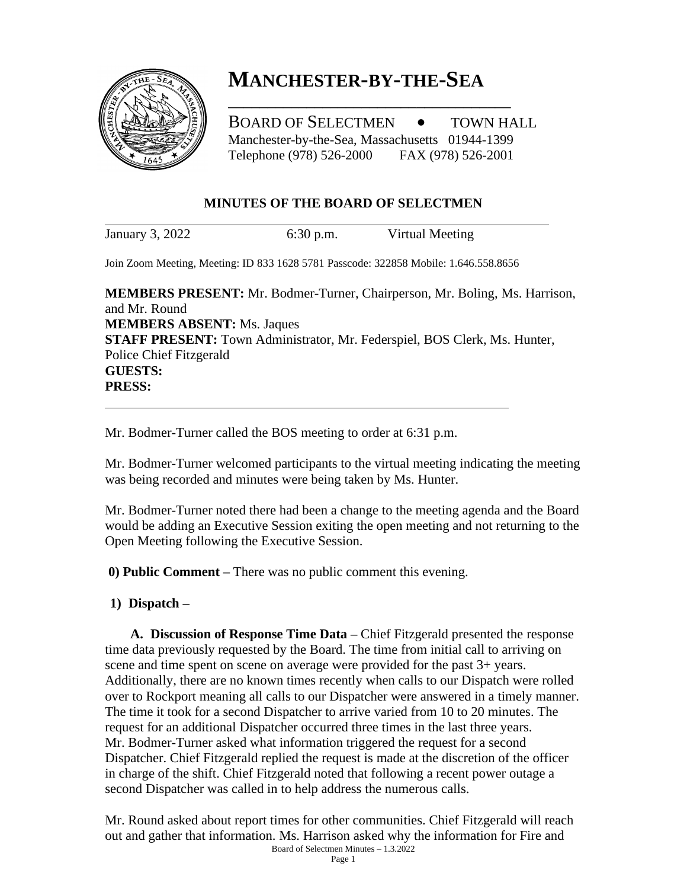

# **MANCHESTER-BY-THE-SEA**

\_\_\_\_\_\_\_\_\_\_\_\_\_\_\_\_\_\_\_\_\_\_\_\_\_\_\_\_\_\_\_\_\_\_\_\_

BOARD OF SELECTMEN  $\bullet$  TOWN HALL Manchester-by-the-Sea, Massachusetts 01944-1399 Telephone (978) 526-2000 FAX (978) 526-2001

#### **MINUTES OF THE BOARD OF SELECTMEN**

January 3, 2022 6:30 p.m. Virtual Meeting

Join Zoom Meeting, Meeting: ID 833 1628 5781 Passcode: 322858 Mobile: 1.646.558.8656

**MEMBERS PRESENT:** Mr. Bodmer-Turner, Chairperson, Mr. Boling, Ms. Harrison, and Mr. Round **MEMBERS ABSENT:** Ms. Jaques **STAFF PRESENT:** Town Administrator, Mr. Federspiel, BOS Clerk, Ms. Hunter, Police Chief Fitzgerald **GUESTS: PRESS:**

Mr. Bodmer-Turner called the BOS meeting to order at 6:31 p.m.

Mr. Bodmer-Turner welcomed participants to the virtual meeting indicating the meeting was being recorded and minutes were being taken by Ms. Hunter.

Mr. Bodmer-Turner noted there had been a change to the meeting agenda and the Board would be adding an Executive Session exiting the open meeting and not returning to the Open Meeting following the Executive Session.

**0) Public Comment –** There was no public comment this evening.

#### **1) Dispatch –**

**A. Discussion of Response Time Data –** Chief Fitzgerald presented the response time data previously requested by the Board. The time from initial call to arriving on scene and time spent on scene on average were provided for the past 3+ years. Additionally, there are no known times recently when calls to our Dispatch were rolled over to Rockport meaning all calls to our Dispatcher were answered in a timely manner. The time it took for a second Dispatcher to arrive varied from 10 to 20 minutes. The request for an additional Dispatcher occurred three times in the last three years. Mr. Bodmer-Turner asked what information triggered the request for a second Dispatcher. Chief Fitzgerald replied the request is made at the discretion of the officer in charge of the shift. Chief Fitzgerald noted that following a recent power outage a second Dispatcher was called in to help address the numerous calls.

Board of Selectmen Minutes – 1.3.2022 Mr. Round asked about report times for other communities. Chief Fitzgerald will reach out and gather that information. Ms. Harrison asked why the information for Fire and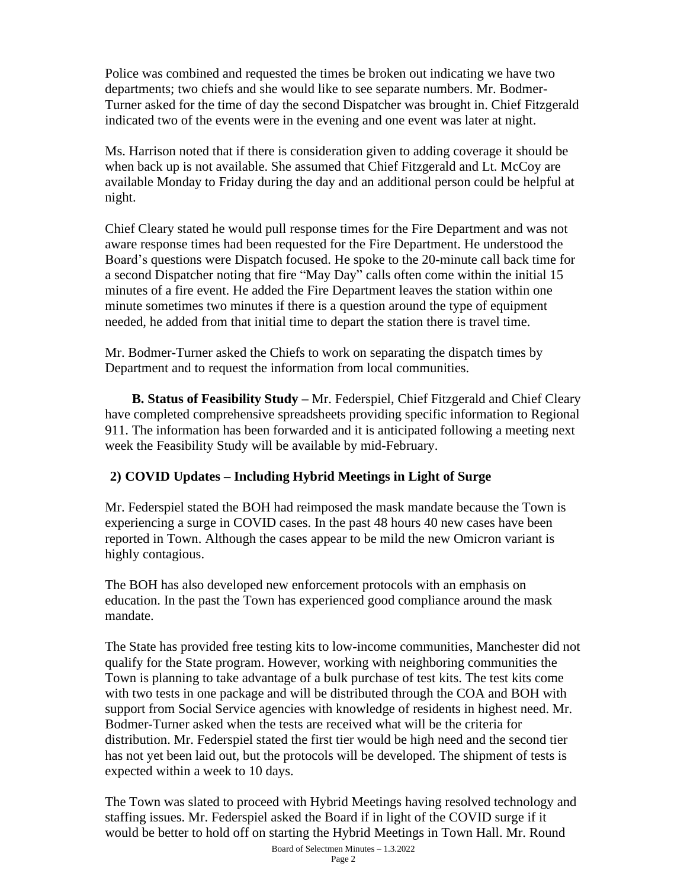Police was combined and requested the times be broken out indicating we have two departments; two chiefs and she would like to see separate numbers. Mr. Bodmer-Turner asked for the time of day the second Dispatcher was brought in. Chief Fitzgerald indicated two of the events were in the evening and one event was later at night.

Ms. Harrison noted that if there is consideration given to adding coverage it should be when back up is not available. She assumed that Chief Fitzgerald and Lt. McCoy are available Monday to Friday during the day and an additional person could be helpful at night.

Chief Cleary stated he would pull response times for the Fire Department and was not aware response times had been requested for the Fire Department. He understood the Board's questions were Dispatch focused. He spoke to the 20-minute call back time for a second Dispatcher noting that fire "May Day" calls often come within the initial 15 minutes of a fire event. He added the Fire Department leaves the station within one minute sometimes two minutes if there is a question around the type of equipment needed, he added from that initial time to depart the station there is travel time.

Mr. Bodmer-Turner asked the Chiefs to work on separating the dispatch times by Department and to request the information from local communities.

 **B. Status of Feasibility Study –** Mr. Federspiel, Chief Fitzgerald and Chief Cleary have completed comprehensive spreadsheets providing specific information to Regional 911. The information has been forwarded and it is anticipated following a meeting next week the Feasibility Study will be available by mid-February.

## **2) COVID Updates – Including Hybrid Meetings in Light of Surge**

Mr. Federspiel stated the BOH had reimposed the mask mandate because the Town is experiencing a surge in COVID cases. In the past 48 hours 40 new cases have been reported in Town. Although the cases appear to be mild the new Omicron variant is highly contagious.

The BOH has also developed new enforcement protocols with an emphasis on education. In the past the Town has experienced good compliance around the mask mandate.

The State has provided free testing kits to low-income communities, Manchester did not qualify for the State program. However, working with neighboring communities the Town is planning to take advantage of a bulk purchase of test kits. The test kits come with two tests in one package and will be distributed through the COA and BOH with support from Social Service agencies with knowledge of residents in highest need. Mr. Bodmer-Turner asked when the tests are received what will be the criteria for distribution. Mr. Federspiel stated the first tier would be high need and the second tier has not yet been laid out, but the protocols will be developed. The shipment of tests is expected within a week to 10 days.

Board of Selectmen Minutes – 1.3.2022 The Town was slated to proceed with Hybrid Meetings having resolved technology and staffing issues. Mr. Federspiel asked the Board if in light of the COVID surge if it would be better to hold off on starting the Hybrid Meetings in Town Hall. Mr. Round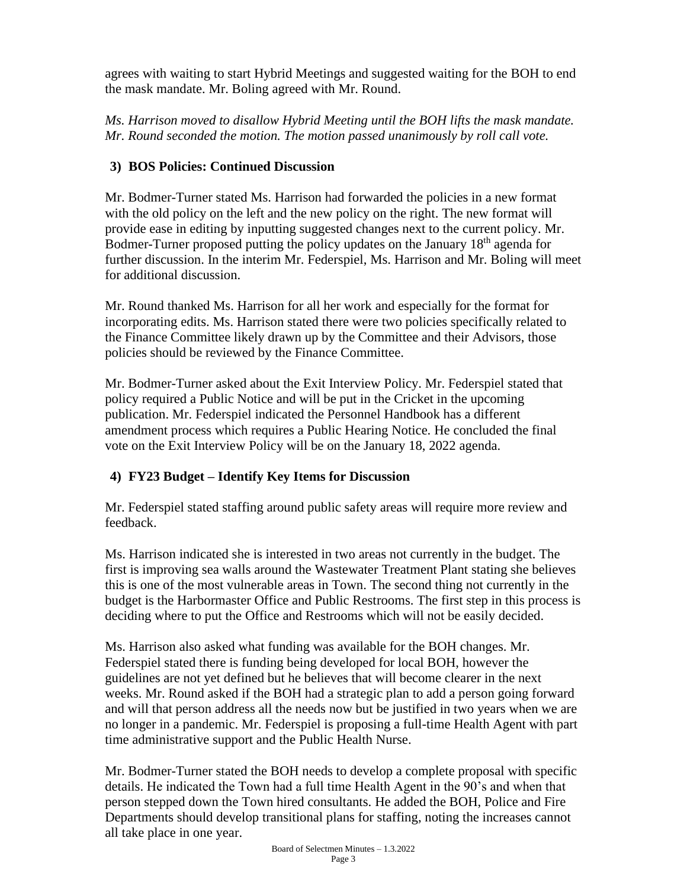agrees with waiting to start Hybrid Meetings and suggested waiting for the BOH to end the mask mandate. Mr. Boling agreed with Mr. Round.

*Ms. Harrison moved to disallow Hybrid Meeting until the BOH lifts the mask mandate. Mr. Round seconded the motion. The motion passed unanimously by roll call vote.*

# **3) BOS Policies: Continued Discussion**

Mr. Bodmer-Turner stated Ms. Harrison had forwarded the policies in a new format with the old policy on the left and the new policy on the right. The new format will provide ease in editing by inputting suggested changes next to the current policy. Mr. Bodmer-Turner proposed putting the policy updates on the January 18<sup>th</sup> agenda for further discussion. In the interim Mr. Federspiel, Ms. Harrison and Mr. Boling will meet for additional discussion.

Mr. Round thanked Ms. Harrison for all her work and especially for the format for incorporating edits. Ms. Harrison stated there were two policies specifically related to the Finance Committee likely drawn up by the Committee and their Advisors, those policies should be reviewed by the Finance Committee.

Mr. Bodmer-Turner asked about the Exit Interview Policy. Mr. Federspiel stated that policy required a Public Notice and will be put in the Cricket in the upcoming publication. Mr. Federspiel indicated the Personnel Handbook has a different amendment process which requires a Public Hearing Notice. He concluded the final vote on the Exit Interview Policy will be on the January 18, 2022 agenda.

# **4) FY23 Budget – Identify Key Items for Discussion**

Mr. Federspiel stated staffing around public safety areas will require more review and feedback.

Ms. Harrison indicated she is interested in two areas not currently in the budget. The first is improving sea walls around the Wastewater Treatment Plant stating she believes this is one of the most vulnerable areas in Town. The second thing not currently in the budget is the Harbormaster Office and Public Restrooms. The first step in this process is deciding where to put the Office and Restrooms which will not be easily decided.

Ms. Harrison also asked what funding was available for the BOH changes. Mr. Federspiel stated there is funding being developed for local BOH, however the guidelines are not yet defined but he believes that will become clearer in the next weeks. Mr. Round asked if the BOH had a strategic plan to add a person going forward and will that person address all the needs now but be justified in two years when we are no longer in a pandemic. Mr. Federspiel is proposing a full-time Health Agent with part time administrative support and the Public Health Nurse.

Mr. Bodmer-Turner stated the BOH needs to develop a complete proposal with specific details. He indicated the Town had a full time Health Agent in the 90's and when that person stepped down the Town hired consultants. He added the BOH, Police and Fire Departments should develop transitional plans for staffing, noting the increases cannot all take place in one year.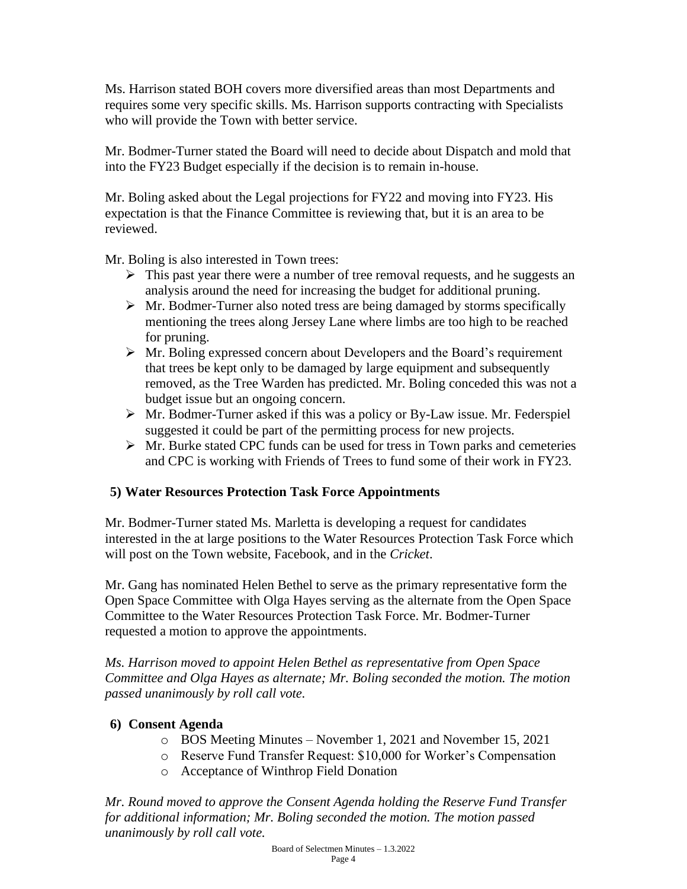Ms. Harrison stated BOH covers more diversified areas than most Departments and requires some very specific skills. Ms. Harrison supports contracting with Specialists who will provide the Town with better service.

Mr. Bodmer-Turner stated the Board will need to decide about Dispatch and mold that into the FY23 Budget especially if the decision is to remain in-house.

Mr. Boling asked about the Legal projections for FY22 and moving into FY23. His expectation is that the Finance Committee is reviewing that, but it is an area to be reviewed.

Mr. Boling is also interested in Town trees:

- $\triangleright$  This past year there were a number of tree removal requests, and he suggests an analysis around the need for increasing the budget for additional pruning.
- $\triangleright$  Mr. Bodmer-Turner also noted tress are being damaged by storms specifically mentioning the trees along Jersey Lane where limbs are too high to be reached for pruning.
- $\triangleright$  Mr. Boling expressed concern about Developers and the Board's requirement that trees be kept only to be damaged by large equipment and subsequently removed, as the Tree Warden has predicted. Mr. Boling conceded this was not a budget issue but an ongoing concern.
- ➢ Mr. Bodmer-Turner asked if this was a policy or By-Law issue. Mr. Federspiel suggested it could be part of the permitting process for new projects.
- $\triangleright$  Mr. Burke stated CPC funds can be used for tress in Town parks and cemeteries and CPC is working with Friends of Trees to fund some of their work in FY23.

## **5) Water Resources Protection Task Force Appointments**

Mr. Bodmer-Turner stated Ms. Marletta is developing a request for candidates interested in the at large positions to the Water Resources Protection Task Force which will post on the Town website, Facebook, and in the *Cricket*.

Mr. Gang has nominated Helen Bethel to serve as the primary representative form the Open Space Committee with Olga Hayes serving as the alternate from the Open Space Committee to the Water Resources Protection Task Force. Mr. Bodmer-Turner requested a motion to approve the appointments.

*Ms. Harrison moved to appoint Helen Bethel as representative from Open Space Committee and Olga Hayes as alternate; Mr. Boling seconded the motion. The motion passed unanimously by roll call vote.*

## **6) Consent Agenda**

- o BOS Meeting Minutes November 1, 2021 and November 15, 2021
- o Reserve Fund Transfer Request: \$10,000 for Worker's Compensation
- o Acceptance of Winthrop Field Donation

*Mr. Round moved to approve the Consent Agenda holding the Reserve Fund Transfer for additional information; Mr. Boling seconded the motion. The motion passed unanimously by roll call vote.*